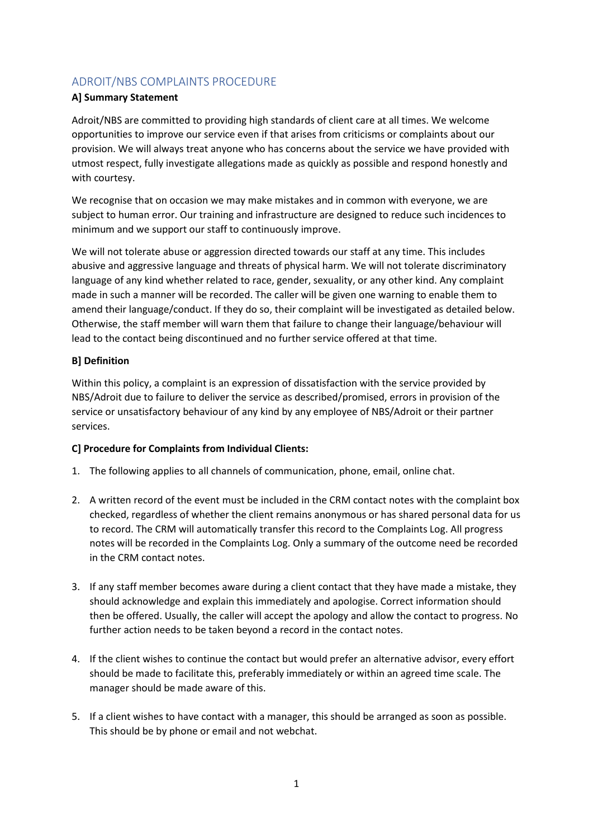# ADROIT/NBS COMPLAINTS PROCEDURE

#### **A] Summary Statement**

Adroit/NBS are committed to providing high standards of client care at all times. We welcome opportunities to improve our service even if that arises from criticisms or complaints about our provision. We will always treat anyone who has concerns about the service we have provided with utmost respect, fully investigate allegations made as quickly as possible and respond honestly and with courtesy.

We recognise that on occasion we may make mistakes and in common with everyone, we are subject to human error. Our training and infrastructure are designed to reduce such incidences to minimum and we support our staff to continuously improve.

We will not tolerate abuse or aggression directed towards our staff at any time. This includes abusive and aggressive language and threats of physical harm. We will not tolerate discriminatory language of any kind whether related to race, gender, sexuality, or any other kind. Any complaint made in such a manner will be recorded. The caller will be given one warning to enable them to amend their language/conduct. If they do so, their complaint will be investigated as detailed below. Otherwise, the staff member will warn them that failure to change their language/behaviour will lead to the contact being discontinued and no further service offered at that time.

#### **B] Definition**

Within this policy, a complaint is an expression of dissatisfaction with the service provided by NBS/Adroit due to failure to deliver the service as described/promised, errors in provision of the service or unsatisfactory behaviour of any kind by any employee of NBS/Adroit or their partner services.

#### **C] Procedure for Complaints from Individual Clients:**

- 1. The following applies to all channels of communication, phone, email, online chat.
- 2. A written record of the event must be included in the CRM contact notes with the complaint box checked, regardless of whether the client remains anonymous or has shared personal data for us to record. The CRM will automatically transfer this record to the Complaints Log. All progress notes will be recorded in the Complaints Log. Only a summary of the outcome need be recorded in the CRM contact notes.
- 3. If any staff member becomes aware during a client contact that they have made a mistake, they should acknowledge and explain this immediately and apologise. Correct information should then be offered. Usually, the caller will accept the apology and allow the contact to progress. No further action needs to be taken beyond a record in the contact notes.
- 4. If the client wishes to continue the contact but would prefer an alternative advisor, every effort should be made to facilitate this, preferably immediately or within an agreed time scale. The manager should be made aware of this.
- 5. If a client wishes to have contact with a manager, this should be arranged as soon as possible. This should be by phone or email and not webchat.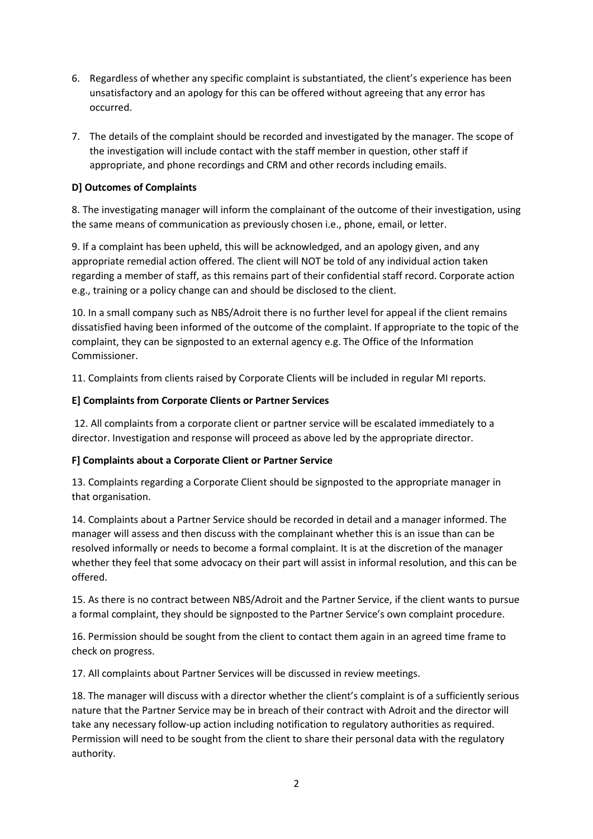- 6. Regardless of whether any specific complaint is substantiated, the client's experience has been unsatisfactory and an apology for this can be offered without agreeing that any error has occurred.
- 7. The details of the complaint should be recorded and investigated by the manager. The scope of the investigation will include contact with the staff member in question, other staff if appropriate, and phone recordings and CRM and other records including emails.

### **D] Outcomes of Complaints**

8. The investigating manager will inform the complainant of the outcome of their investigation, using the same means of communication as previously chosen i.e., phone, email, or letter.

9. If a complaint has been upheld, this will be acknowledged, and an apology given, and any appropriate remedial action offered. The client will NOT be told of any individual action taken regarding a member of staff, as this remains part of their confidential staff record. Corporate action e.g., training or a policy change can and should be disclosed to the client.

10. In a small company such as NBS/Adroit there is no further level for appeal if the client remains dissatisfied having been informed of the outcome of the complaint. If appropriate to the topic of the complaint, they can be signposted to an external agency e.g. The Office of the Information Commissioner.

11. Complaints from clients raised by Corporate Clients will be included in regular MI reports.

## **E] Complaints from Corporate Clients or Partner Services**

12. All complaints from a corporate client or partner service will be escalated immediately to a director. Investigation and response will proceed as above led by the appropriate director.

### **F] Complaints about a Corporate Client or Partner Service**

13. Complaints regarding a Corporate Client should be signposted to the appropriate manager in that organisation.

14. Complaints about a Partner Service should be recorded in detail and a manager informed. The manager will assess and then discuss with the complainant whether this is an issue than can be resolved informally or needs to become a formal complaint. It is at the discretion of the manager whether they feel that some advocacy on their part will assist in informal resolution, and this can be offered.

15. As there is no contract between NBS/Adroit and the Partner Service, if the client wants to pursue a formal complaint, they should be signposted to the Partner Service's own complaint procedure.

16. Permission should be sought from the client to contact them again in an agreed time frame to check on progress.

17. All complaints about Partner Services will be discussed in review meetings.

18. The manager will discuss with a director whether the client's complaint is of a sufficiently serious nature that the Partner Service may be in breach of their contract with Adroit and the director will take any necessary follow-up action including notification to regulatory authorities as required. Permission will need to be sought from the client to share their personal data with the regulatory authority.